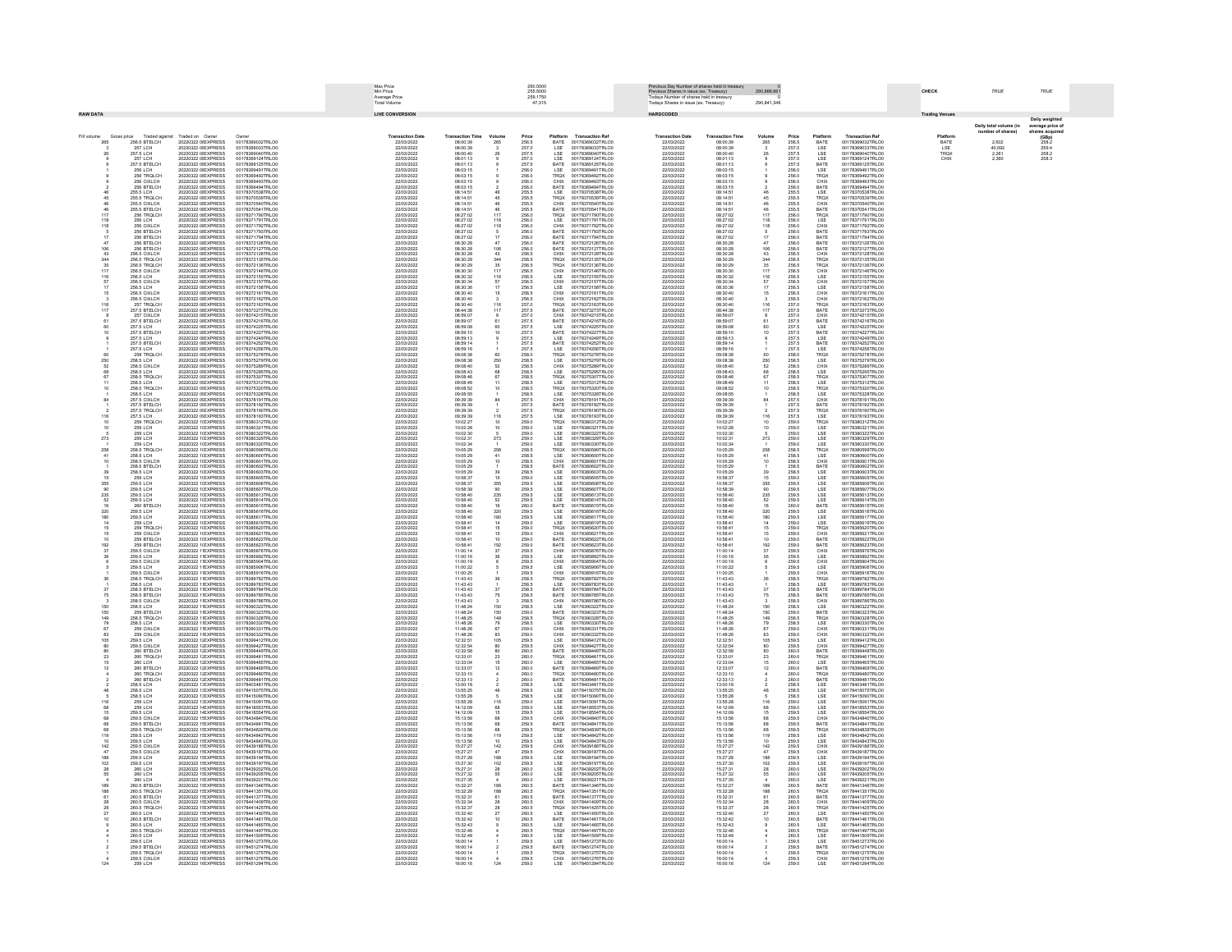| Max Price<br>Min Price<br>260,5000<br>Previous Day Number of shares held in treasury<br>Previous Shares in issue (ex. Treasury)<br>Todays Number of shares held in treasury<br>255,5000<br>290.888.661<br>Average Price<br>259 1750<br><b>Total Volume</b><br>47,315<br>odays Shares in issue (ex. Treasury)<br>290,841,346                                                                                                                                                                                                                                                                                                                                                                                                                                                                                                                                         | CHECK                           | TRUE                                       | TRUE                                 |
|---------------------------------------------------------------------------------------------------------------------------------------------------------------------------------------------------------------------------------------------------------------------------------------------------------------------------------------------------------------------------------------------------------------------------------------------------------------------------------------------------------------------------------------------------------------------------------------------------------------------------------------------------------------------------------------------------------------------------------------------------------------------------------------------------------------------------------------------------------------------|---------------------------------|--------------------------------------------|--------------------------------------|
| <b>RAW DATA</b><br><b>LIVE CONVERSION</b><br>HARDCODED                                                                                                                                                                                                                                                                                                                                                                                                                                                                                                                                                                                                                                                                                                                                                                                                              | ading Ver                       |                                            | <b>Daily weighte</b>                 |
| Fill volume<br>Gross price<br>Traded against<br>Traded on Owne<br><b>Transaction Dat</b><br><b>Transaction Ref</b><br><b>Transaction Date</b><br><b>Transaction Tim</b><br><b>Transaction Ret</b><br><b>Transaction Time</b><br>Price<br>Price                                                                                                                                                                                                                                                                                                                                                                                                                                                                                                                                                                                                                      |                                 | Daily total volume (in<br>number of shares | average price of                     |
| Volume<br>265<br>Platform Transaction Ref<br>BATE 00178369032TRLO0<br>Platform<br>BATE<br>20220322 01 EXPRESS<br>00178369032TRLO<br>265<br>256.5 BTELCH<br>22/03/2022<br>08:00:39<br>265<br>256.5<br>22/03/2022<br>08:00:39<br>256.5<br>00178369032TRLO0<br>257 LCH<br>257.5 LCH<br>20220322 0I EXPRESS<br>00178369033TRLO0<br>22/03/2022<br>08:00:39<br>257.0<br>LSE<br>LSE<br>00178369033TRLOD<br>22/03/2022<br>08:00:39<br>257.0<br>LSE<br>LSE<br>00178369033TRLO0<br>20220322 0 EXPRESS<br>00178369040TRLOO<br>22/03/2022<br>08:00:40<br>257.5<br>00178369040TRLOD<br>22/03/2022<br>08:00:40<br>257.5<br>00178369040TRLOO                                                                                                                                                                                                                                       | Platforn<br>BATE<br>LSE<br>TRQX | 2.602<br>40.092                            | $(GBp)$<br>$258.2$<br>259.4<br>258.2 |
| 257 LCH<br>20220322.0 EXPRESS<br>00178369124TRLO0<br>22/03/2022<br>08:01:13<br>257.0<br>257.5<br>00178369124TRLOC<br>22/03/2022<br>08:01:13<br>257.0<br>257.5<br>LSE<br>BATE<br>00178369124TRLO0<br>257.5 RTFLCH<br>20220322 0LEXPRESS<br>00178369125TRLOO<br>22/03/2023<br>00178369125TRLOO<br>22/03/2022<br>00178369125TRLO                                                                                                                                                                                                                                                                                                                                                                                                                                                                                                                                       | CHIX                            | 2,261<br>2,360                             | 258.3                                |
| LSE<br>BATE<br>LSE<br>TRQX<br>CHIX<br>BATE<br>LSE<br>TRQX<br>57.5 BTELCH<br>256 TRQLCH<br>256 CIXLCH<br>256 BTELCH<br>256 BTELCH<br>20220322 01 EXPRESS<br>20220322 01 EXPRESS<br>20220322 01 EXPRESS<br>20220322 01 EXPRESS<br>20220322 01 EXPRESS<br>20220322 01 EXPRESS<br>00178360401TRLOC<br>22/03/2022<br>08:03:15<br>08:03:15<br>08:03:15<br>08:03:15<br>256.0<br>256.0<br>256.0<br>00179360401TRLO<br>22/03/2022<br>08:03:15<br>08:03:15<br>08:03:15<br>256.0<br>256.0<br>256.0<br>256.5<br>255.5<br>255.5<br>255.5<br>255.5<br>ESE<br>TROX<br>CHIX<br>BATE<br>LSE<br>TROX<br>00178369491TRLO                                                                                                                                                                                                                                                               |                                 |                                            |                                      |
| 00178389491TRLO0<br>00178389492TRLO0<br>00178389493TRLO0<br>00178389494TRLO0<br>00178370538TRLO0<br>00178389491TRLO0<br>00178389492TRLO0<br>00178389493TRLO0<br>00178370538TRLO0<br>00178370538TRLO0<br>00178369491TRLO0<br>00178369492TRLO0<br>00178369493TRLO0<br>00178369494TRLO0<br>00178370538TRLO0<br>22/03/2022<br>22/03/2022<br>08:03:15<br>256.0<br>255.5<br>08:03:15<br>255.5 LCH<br>22/03/2022<br>08:14:5<br>22/03/2022<br>08:14:51                                                                                                                                                                                                                                                                                                                                                                                                                      |                                 |                                            |                                      |
| 255.5 TROLCH<br>45<br>20220322 0I EXPRESS<br>00178370539TRLO<br>22/03/2022<br>08:14:51<br>255.5<br>00178370539TRLOO<br>22/03/2022<br>08:14:51<br>00178370539TRLO0<br>255.5 CIXLCH<br>20220322 0 EXPRESS<br>00178370540TRLO<br>22/03/2022<br>08:14:51<br>255.5<br>255.5<br>CHIX<br>BATE<br>00178370540TRLOO<br>22/03/2022<br>08:14:51<br>CHIX<br>BATE<br>00178370540TRLOO<br>255.5 BTELCH<br>20220322 0I EXPRESS<br>00178370541TRLO<br>22/03/2022<br>08:14:51<br>00178370541TRLOD<br>22/03/2022<br>08:14:51<br>00178370541TRLOO                                                                                                                                                                                                                                                                                                                                      |                                 |                                            |                                      |
| 117<br>118<br>256 TROLCH<br>20220322 0I EXPRESS<br>00178371790TRLOO<br>22/03/2022<br>08:27:02<br>$\frac{117}{118}$<br>256.0<br>256.0<br>TRQX<br>LSE<br>00178371790TRLOO<br>22/03/2022<br>08:27:02<br>$\frac{117}{118}$<br>00178371790TRLOD<br><b>256 LCH</b><br>20220322 0I EXPRESS<br>00178371791TRLOO<br>22/03/2022<br>08:27:02<br>00178371791TRLOO<br>22/03/2022<br>08:27:02<br>00178371791TRLOO<br>118<br>256 CIXI CH<br>20220322 OLEXPRESS<br>00178371792TRLO0<br>22/03/2022<br>08:27:02<br>118<br>00178371792TRLOC<br>22/03/2022<br>08:27:02<br>118<br>00178371792TRLO0                                                                                                                                                                                                                                                                                       |                                 |                                            |                                      |
| 256 BTELCH<br>256 BTELCH<br>20220322 0 EXPRESS<br>20220322 0 EXPRESS<br>00178371793TRLO<br>08:27:02<br>08:27:02<br>08:30:28<br>08:30:28<br>08:30:28<br>00178371793TRLOD<br>00178371793TRLO<br>22/03/2022<br>22/03/2022<br>22/03/2022<br>22/03/2022                                                                                                                                                                                                                                                                                                                                                                                                                                                                                                                                                                                                                  |                                 |                                            |                                      |
| 256.0<br>256.0<br>256.0<br>256.0<br>256.0<br>256.0<br>256.0<br>256.5<br>TROX<br>LSE<br>CHIX<br>BATE<br>BATE<br>BATE<br>CHIX<br>TROX<br>TROX<br>256.0<br>256.0<br>256.0<br>256.0<br>256.0<br>256.5<br>CHIX<br>BATE<br>BATE<br>BATE<br>BATE<br>CHIX<br>TRQX<br>TRQX<br>0827.02<br>08:27:02<br>08:30:28<br>08:30:28<br>08:30:28<br>20220322 01 EXPRESS<br>20220322 01 EXPRESS<br>20220322 01 EXPRESS<br>20220322 01 EXPRESS<br>001783717941RLOL<br>00178372126TRLOL<br>00178372127TRLOL<br>001783717941RLOU<br>00178372126TRLOU<br>00178372127TRLOU<br>00178372128TRLOU<br>22/03/2022<br>22/03/2022<br>22/03/2022<br>$\frac{47}{106}$<br>001783717941RLO<br>00178372126TRLO<br>00178372127TRLO<br>256 BTELCH<br>256 BTELCH<br>256 BTELCH<br>$\frac{47}{106}$<br>256.5 CIXLCH<br>00178372128TRLO<br>08:30:28<br>22/03/2022<br>00178372128TRLO                           |                                 |                                            |                                      |
| 22/03/2022<br>344<br>256.5 TRQLCH<br>256.5 TRQLCH<br>20220322 0I EXPRESS<br>00178372135TRLOO<br>22/03/2022<br>08:30:29<br>344<br>35<br>256.5<br>256.5<br>00178372135TRLOO<br>22/03/2022<br>08:30:29<br>08:30:29<br>$\begin{array}{c} 344 \\ 35 \\ 117 \\ 116 \end{array}$<br>256.5<br>256.5<br>00178372135TRLO0<br>35<br>20220322 0I EXPRESS<br>00178372136TRLOO<br>22/03/2022<br>08:30:29<br>00178372136TRLOO<br>22/03/2022<br>00178372136TRLO                                                                                                                                                                                                                                                                                                                                                                                                                     |                                 |                                            |                                      |
| $\frac{117}{116}$<br>117<br>256.5 CIXLCH<br>20220322 0I EXPRESS<br>00178372146TRLO0<br>22/03/2022<br>08:30:30<br>256.5<br>256.5<br>CHIX<br>LSE<br>00178372146TRLOD<br>22/03/2022<br>08:30:30<br>256.5<br>256.5<br>00178372146TRLO0<br>256.5 LCH<br>20220322 0I EXPRESS<br>00178372155TRLO<br>22/03/2022<br>08:30:32<br>00178372155TRLOD<br>22/03/2022<br>08:30:32<br>00178372155TRLOO<br>256.5 CIXLCH<br>20220322 0I EXPRESS<br>00178372157TRLO0<br>22/03/2022<br>08:30:34<br>67<br>256.5<br>CHIX<br>00178372157TRLOD<br>22/03/2022<br>08:30:34<br>00178372157TRLOD<br>57                                                                                                                                                                                                                                                                                           |                                 |                                            |                                      |
| CHIX<br>LSE<br>CHIX<br>LSE<br>CHIX<br>TRQX<br>BATE<br>$\frac{67}{17}$<br>256.5<br>256.5<br>256.5<br>256.5<br>257.0<br>257.5<br>257.0<br>257.5<br><b>256.5 LCH</b><br>256.5 CIXLCH<br>20220322.0 EXPRESS<br>00178372158TRLO0<br>22/03/2023<br>08:30:36<br>08:30:40<br>256.5<br>256.5<br>LSE<br>CHIX<br>CHIX<br>TRQX<br>BATE<br>00178372158TRLOC<br>22/03/2022<br>08:30:36<br>08:30:40<br>00178372158TRLOL<br>20220322 0LEXPRESS<br>00178372161TRLOO<br>22/03/2023<br>00178372161TRLOC<br>22/03/2022<br>00178372161TRLO                                                                                                                                                                                                                                                                                                                                               |                                 |                                            |                                      |
| 256.5 CIXLCH<br>257 TROLCH<br>20220322 01 EXPRESS<br>20220322 01 EXPRESS<br>20220322 01 EXPRESS<br>20220322 01 EXPRESS<br>00178372162TRLO<br>22/03/2022<br>08:30:40<br>08:30:40<br>08:44:38<br>256.5<br>257.0<br>257.5<br>00178372162TRLCO<br>00178372163TRLCO<br>00178373273TRLCO<br>22/03/2022<br>22/03/2022<br>08:30:40<br>08:30:40<br>08:30:40<br>08:44:38<br>00178372162TRLO<br>$\frac{3}{116}$<br>$\frac{3}{116}$<br>116<br>117<br>001783721031NLOG<br>257.5 BTELCH<br>22/03/2023<br>22/03/2022                                                                                                                                                                                                                                                                                                                                                               |                                 |                                            |                                      |
| 001783721631RLOO<br>00178373273TRLOO<br>00178374215TRLOO<br>20220322 0I EXPRESS<br>20220322 0I EXPRESS<br>00178374215TRLO0<br>257 CIXLCH<br>257.5 BTELCH<br>22/03/2023<br>08:59:07<br>257.0<br>257.5<br>CHIX<br>BATE<br>00178374215TRLOO<br>22/03/2022<br>08:59:07<br>08:59:07<br>CHIX<br>BATE<br>22/03/2022<br>08:59:07<br>00178374216TRLOO<br>22/03/2022<br>00178374216TRLO<br>20220322 0IEXPRESS<br>00178374225TRLOO<br>22/03/2022<br>08:59:08<br>00178374225TRLOD<br>22/03/2022<br>08:59:08<br>00178374225TRLO0                                                                                                                                                                                                                                                                                                                                                 |                                 |                                            |                                      |
| 257.5 LCH<br>257.5 BTELCH<br>$^{60}_{10}$<br>257.5<br>257.5<br>LSE<br>BATE<br>257.5<br>257.5<br>LSE<br>BATE<br>20220322 0IEXPRESS<br>00178374227TRLO<br>22/03/2022<br>08:59:10<br>00178374227TRLOO<br>22/03/2022<br>08:59:10<br>00178374227TRLO0<br>257.5 LCH<br>20220322 0I EXPRESS<br>00178374249TRLO0<br>22/03/2022<br>08:59:13<br>257.5<br>LSE<br>00178374249TRLOO<br>22/03/2022<br>08:59:13<br>257.5<br>00178374249TRLO0                                                                                                                                                                                                                                                                                                                                                                                                                                       |                                 |                                            |                                      |
| 257 S RTFLCH<br>20220322 OLEXPRESS<br>00178374252TRLO0<br>22/03/2022<br>08:59:14<br>08:59:16<br>257.5<br>257.5<br>BATE<br>LSE<br>00178374252TRLO0<br>22/03/2022<br>08:59:14<br>08:59:16<br>257.5<br>257.5<br>00178374252TRLO0<br>257.5 LCH<br>20220322 0 EXPRESS<br>00178374256TRLO<br>22/03/2023<br>00178374256TRLOO<br>22/03/2022<br>00178374256TRLOO<br>258 TROLCH<br>20220322 0 EXPRESS<br>20220322 0 EXPRESS<br>00178375278TRLOO<br>22/03/2023<br>09:08:38<br>00178375278TRLO0<br>00178375279TRLO0<br>22/03/2022<br>22/03/2022<br>09:08:38<br>09:08:38<br>00178375278TRLOO<br>00178375279TRLOO                                                                                                                                                                                                                                                                 |                                 |                                            |                                      |
| 258.0<br>258.5<br>258.5<br>258.5<br>258.5<br>TRQX<br>LSE<br>257.5<br>258.0<br>258.5<br>258.5<br>258.5<br>258.5<br>258.5<br>258.5<br>60<br>250<br>52<br>68<br>67<br>250<br>250<br>258.5 LCH<br>22/03/202<br>258.5 LCH<br>258.5 CIXLCH<br>258.5 LCH<br>258.5 TRQLCH<br>00178375289TRLC0<br>00178375295TRLC0<br>00178375307TRLC0<br>22/03/2023<br>09:08:40<br>09:08:42<br>09:08:48<br>$52$<br>$68$<br>$67$<br>CHIX<br>LSE<br>TRQX<br>22/03/2022<br>22/03/2022<br>22/03/2022<br>09:08:40<br>09:08:43<br>09:08:48                                                                                                                                                                                                                                                                                                                                                        |                                 |                                            |                                      |
| 20220322 0: EXPRESS<br>20220322 0: EXPRESS<br>20220322 0: EXPRESS<br>20220322 0: EXPRESS<br>00178375289TRLCO<br>00178375289TRLCO<br>00178375307TRLCO<br>00178375307TRLCO<br>00178375289TRLC0<br>00178375289TRLC0<br>00178375307TRLC0<br>00178375307TRLC0<br>20220322 0! EXPRESS<br>00178375312TRLO<br>00178375312TRLOD<br>00178375312TRLOI<br>22/03/2022<br>09:08:49<br>22/03/2022<br>09:08:49                                                                                                                                                                                                                                                                                                                                                                                                                                                                      |                                 |                                            |                                      |
| 258.5 LCH<br>258.5 TRQLCH<br>258.5<br>258.5<br>LSE<br>TRQX<br>LSE<br>20220322 0! EXPRESS<br>00178375320TRLO<br>22/03/2022<br>09:08:52<br>00178375320TRLOO<br>22/03/2022<br>09:08:52<br>00178375320TRLO<br>258.5 LCH<br>20220322 0! EXPRESS<br>00178375328TRLOO<br>22/03/2022<br>09:08:55<br>258.5<br>00178375328TRLOO<br>22/03/2022<br>09:08:55<br>258.5<br>00178375328TRLO0<br>257.5 CIXLCH<br>20220322 0! EXPRESS<br>00178378191TRLOO<br>22/03/2022<br>09:39:39<br>00178378191TRLOD<br>22/03/2022<br>09:39:39<br>00178378191TRLOD<br>84<br>84                                                                                                                                                                                                                                                                                                                     |                                 |                                            |                                      |
| 257.5<br>257.5<br>CHIX<br>BATE<br>257.5<br>257.5<br>257.5 BTELCH<br>20220322 0! EXPRESS<br>00178378192TRLO<br>22/03/2022<br>09:39:39<br>00178378192TRLOD<br>22/03/2022<br>09:39:39<br>00178378192TRLOO<br>257.5 TROLCH<br>20220322 0LEXPRESS<br>00178378190TRLO0<br>22/03/2022<br>09:39:39<br>257.5<br>257.5<br>TRQX<br>LSE<br>00178378190TRLOC<br>22/03/2022<br>09:39:39<br>00178378190TRLO0                                                                                                                                                                                                                                                                                                                                                                                                                                                                       |                                 |                                            |                                      |
| 116<br>116<br>257.5 LCH<br>20220322 0 EXPRESS<br>00178378193TRLO<br>22/03/2022<br>09:39:39<br>00178378193TRLOD<br>22/03/2022<br>09:39:39<br>00178378193TRLOO<br>259 TROLCH<br>20220322 1(EXPRESS<br>00178380312TRLOC<br>22/03/2022<br>10:02:27<br>259.0<br>00178380312TRLOC<br>22/03/2022<br>10:02:27<br>$\frac{10}{10}$<br>00178380312TRLO0                                                                                                                                                                                                                                                                                                                                                                                                                                                                                                                        |                                 |                                            |                                      |
| 20220322 11 EXPRESS<br>20220322 11 EXPRESS<br>20220322 11 EXPRESS<br>20220322 11 EXPRESS<br>20220322 11 EXPRESS<br>20220322 11 EXPRESS<br>00178380312TRLO0<br>00178380321TRLO0<br>00178380322TRLO0<br>00178380329TRLO0<br>00178380330TRLO0<br>00178380599TRLO0<br>22/03/2022<br>22/03/2022<br>22/03/2022<br>10:02:27<br>10:02:28<br>10:02:31<br>10:02:34<br>259.0<br>259.0<br>259.0<br>259.0<br>258.5<br>001783803121RLO0<br>00178380321TRLO0<br>00178380322TRLO0<br>00178380329TRLO0<br>00178380330TRLO0<br>00178380599TRLO0<br>22/03/2022<br>22/03/2022<br>22/03/2022<br>22/03/2022<br>22/03/2022<br>10:02:28<br>10:02:30<br>10:02:31<br>10:02:34<br>10:05:29<br>00178380312TRLO0<br>00178380321TRLO0<br>00178380322TRLO0<br>00178380329TRLO0<br>00178380330TRLO0<br>00178380599TRLO0<br>259 LCH<br>259 LCH<br>259 LCH<br>259 LCH<br>259 LCH<br>273<br>273<br>273 |                                 |                                            |                                      |
| 257.5<br>257.5<br>259.0<br>259.0<br>259.0<br>258.5<br>258.5<br>258.5<br>22/03/202<br>258<br>$\begin{array}{c} 258 \\ 41 \\ 10 \end{array}$<br>258<br>258.5 TROLCH<br>22/03/2023<br>10:05:29<br>22/03/2022<br>$\frac{41}{10}$<br>258.5 LCH<br>20220322 1(EXPRESS<br>00178380600TRLO<br>22/03/2023<br>10:05:29<br>00178380600TRLOO<br>22/03/2022<br>$\frac{41}{10}$<br>00178380600TRLO0                                                                                                                                                                                                                                                                                                                                                                                                                                                                               |                                 |                                            |                                      |
| 배 분명 전부 정정 변경 프로그램 전쟁 선정 방향 등 분별 방향 이 분별 경제 보고<br>이 분류 기업 선정 선정 보호 선정 방법 정보 선정 등 기업 정보 정보<br>TROX<br>LSE<br>LSE<br>LSE<br>LSE<br>CHIX<br>BATE<br>BATE<br>LSE<br>258.5<br>258.5<br>10:05:29<br>10:05:29<br>258.5 CIXLCH<br>20220322 1(EXPRESS<br>00178380601TRLO0<br>22/03/2022<br>10:05:29<br>00178380601TRLOO<br>22/03/2022<br>00178380601TRLO0<br>258.5 BTELCH<br>20220322 1(EXPRESS<br>00178380602TRLO0<br>22/03/2022<br>10:05:29<br>258.5<br>00178380602TRLO0<br>22/03/2022<br>10:05:29<br>258.5<br>258.5<br>00178380602TRLO0<br>258.5 LCH<br>20220322 1(EXPRESS<br>00178380603TRLO0<br>22/03/2022<br>10:05:29<br>39<br>258.5<br>00178380603TRLOO<br>22/03/2022<br>10:05:29<br>00178380603TRLO0                                                                                                                                                                 |                                 |                                            |                                      |
| $-16$<br>259 LCH<br>20220322 1(EXPRESS<br>00178385605TRLOO<br>22/03/2022<br>10:58:37<br>16<br>259.0<br><b>ISE</b><br>00178385605TRLOO<br>22/03/2022<br>10:58:37<br>00178385605TRLO0<br>20220322 1 EXPRESS<br>20220322 1 EXPRESS<br>00178385606TRLOO<br>22/03/2022<br>22/03/2022<br>10:58:37<br>10:58:39<br>355<br>90<br>00178385606TRLC0<br>00178385607TRLC0<br>22/03/2022<br>22/03/2022<br>10:58:37<br>10:58:39<br>00178385606TRLOO<br>00178385607TRLOO<br>355<br>259.5 LCH<br>259.5 LCH                                                                                                                                                                                                                                                                                                                                                                           |                                 |                                            |                                      |
| 259.0<br>259.5<br>259.5<br>259.5<br>259.5<br>259.5<br>259.5<br>355<br>90<br>235<br>52<br>16<br>259.5<br>259.5<br>259.5<br>259.5<br>260.0<br>LSE<br>LSE<br>LSE<br>BATE<br>$235$<br>$52$<br>$16$<br>20220322 11 EXPRESS<br>20220322 11 EXPRESS<br>00178385613TRLO<br>22/03/2022<br>10:58:40<br>10:58:40<br>10:58:40<br>$\frac{235}{52}$<br>00178385613TRLOC<br>22/03/2022<br>10:58:40<br>10:58:40<br>10:58:40<br>00178385613TRLO<br>259.5 LCH<br>259.5 LCH<br>260 BTELCH                                                                                                                                                                                                                                                                                                                                                                                              |                                 |                                            |                                      |
| 20220322 11 EXPRESS<br>00178385615TRLO<br>00178385615TRLOD<br>22/03/2022<br>00178385615TRLOO<br>22/03/202<br>20220322 1(EXPRESS<br>320<br>180<br>259.5 LCH<br>259.5 LCH<br>00178385616TRLO<br>22/03/2022<br>10:58:40<br>320<br>180<br>259.5<br>259.5<br>LSE<br>LSE<br>00178385616TRLOO<br>22/03/2022<br>10:58:40<br>10:58:40<br>320<br>180<br>00178385616TRLO0<br>20220322 1(EXPRESS<br>00178385617TRLO<br>22/03/2022<br>10:58:40<br>00178385617TRLOD<br>22/03/2022<br>00178385617TRLO0                                                                                                                                                                                                                                                                                                                                                                             |                                 |                                            |                                      |
| LSE<br>LSE<br>LSE<br>TRQX<br>20220322 1(EXPRESS<br>00178385619TRLO0<br>22/03/2022<br>10:58:41<br>14<br>259.0<br>259.0<br>LSE<br>TRQX<br>00178385619TRLOO<br>22/03/2022<br>10:58:41<br>10:58:41<br>$\frac{14}{15}$<br>259.0<br>259.0<br>00178385619TRLO0<br>259 LCH<br>259 TRQLCH<br>20220322 1(EXPRESS<br>00178385620TRLO<br>22/03/2022<br>10:58:4<br>15<br>00178385620TRLOO<br>22/03/2022<br>00178385620TRLO                                                                                                                                                                                                                                                                                                                                                                                                                                                       |                                 |                                            |                                      |
| 259 CIXLCH<br>20220322 1(EXPRESS<br>00178385621TRLO0<br>22/03/2022<br>10:58:41<br>15<br>259.0<br>CHIX<br>BATE<br>BATE<br>00178385621TRLOO<br>22/03/2022<br>10:58:41<br>15<br>259.0<br>CHIX<br>BATE<br>BATE<br>00178385621TRLO0<br>259 BTELCH<br>259 BTELCH<br>20220322 1(EXPRESS<br>00178385622TRLO0<br>22/03/2022<br>10:58:41<br>10:58:41<br>259.0<br>259.0<br>00178385622TRLOC<br>22/03/2022<br>10:58:41<br>10:58:41<br>$\frac{10}{192}$<br>259.0<br>259.0<br>00178385622TRLO0<br>20220322 1(EXPRESS<br>00178385623TRLO0<br>22/03/2022<br>190<br>00178385623TRLOC<br>22/03/2022<br>00178385623TRLOO                                                                                                                                                                                                                                                               |                                 |                                            |                                      |
| <b>259.5 CIXLCH</b><br>259.5 LCH<br>20220322.1: EXPRESS<br>00178385876TRLO0<br>22/03/2023<br>11:00:14<br>11:00:16<br>$\frac{37}{36}$<br>259.5<br>259.5<br>259.5<br>CHIX<br>LSE<br>00178385876TRLO0<br>2203/2022<br>11:00:14<br>11:00:16<br>00178385876TRLOL<br>20220322.1: EXPRESS<br>00178385892TRLOO<br>22/03/2023<br>00178385892TRLOO<br>22/03/2022<br>00178385892TRLOL                                                                                                                                                                                                                                                                                                                                                                                                                                                                                          |                                 |                                            |                                      |
| 259.5 CIXLCH<br>20220322 1 EXPRESS<br>20220322 1 EXPRESS<br>20220322 1 EXPRESS<br>20220322 1 EXPRESS<br>20220322 1 EXPRESS<br>20220322 1 EXPRESS<br>00178385904TRLOO<br>22/03/2022<br>11:00:19<br>00178385904TRLO0<br>00178385906TRLO0<br>00178385916TRLO0<br>22/03/2022<br>22/03/2022<br>22/03/2022<br>11:00:19<br>11:00:22<br>11:00:25<br>11:43:43<br>11:43:43<br>00178385904TRLO0<br>00178385906TRLO0<br>00178385916TRLO0<br>00178385906TRLOO<br>00178385906TRLOO<br>259.5 LCH<br>259.5 CIXLCH<br>259.5<br>259.5<br>22/03/202<br>11:00:22<br>11:00:25<br>22/03/2022                                                                                                                                                                                                                                                                                              |                                 |                                            |                                      |
| 259.5<br>259.5<br>259.5<br>259.5<br>258.5<br>258.5<br>258.5<br>CHIX<br>LSE<br>CHIX<br>LSE<br>CHIX<br>LSE<br>BATE<br>LSE<br>CHIX<br>CHIX<br>TRQX<br>LSE<br>BATE<br>36<br>258.5 TROLCH<br>00178389782TRLO<br>22/03/2023<br>11:43:43<br>11:43:43<br>36<br>258.5<br>258.5<br>00178389782TRLOO<br>22/03/2022<br>36<br>00178389782TRLO0<br>258.5 LCH<br>00178389783TRLO<br>22/03/2022<br>00178389783TRLOO<br>22/03/2022<br>00178389783TRLO0<br>258.5 BTELCH                                                                                                                                                                                                                                                                                                                                                                                                               |                                 |                                            |                                      |
| 37<br>20220322 1 EXPRESS<br>00178389784TRLO0<br>22/03/2022<br>11:43:43<br>37<br>258.5<br>00178389784TRLC0<br>22/03/2022<br>11:43:43<br>37<br>00178389784TRLO0<br>76<br>258.5 BTELCH<br>20220322 1 EXPRESS<br>00178389785TRLO0<br>22/03/2022<br>11:43:43<br>11:43:43<br>$\frac{75}{3}$<br>258.5<br>258.5<br>BATE<br>CHIX<br>00178389785TRLO0<br>22/03/2022<br>11:43:43<br>11:43:43<br>75<br>258.5<br>258.5<br>00178389785TRLO0<br>258.5 CIXLCH<br>20220322 1 EXPRESS<br>00178389786TRLO0<br>22/03/2022<br>00178389786TRLOO<br>22/03/2022<br>00178389786TRLOO                                                                                                                                                                                                                                                                                                         |                                 |                                            |                                      |
| 150<br>150<br><b>258.5 LCH</b><br>20220322.1: EXPRESS<br>00178390322TRLO0<br>22/03/2022<br>11:48:24<br>11:48:24<br>258.5<br>259.0<br>00178390322TRLOC<br>22/03/2022<br>11:48:24<br>11:48:24<br>150<br>150<br>149<br>79<br>67<br>00178390322TRLO0<br>150<br>150<br>149<br>79<br>67<br>259 RTFLCH<br>20220322.1: EXPRESS<br>00178390323TRLO0<br>22/03/2023<br>00178390323TRLOC<br>22/03/2022<br>00178390323TRLO0<br>149<br>20220322.1: EXPRESS<br>00178390328TRLO0<br>22/03/2023<br>00178390328TRLOC<br>22/03/2022<br>00178390328TRLOL                                                                                                                                                                                                                                                                                                                                |                                 |                                            |                                      |
| 259 BTELCH<br>258.5 TRQLCH<br>259 CIXLCH<br>259 CIXLCH<br>259.5 LCH<br>259.5 LCH<br>259.5 LCH<br>11:48:24<br>11:48:25<br>11:48:26<br>11:48:26<br>12:32:51<br>258.5<br>258.5<br>259.0<br>259.0<br>259.5<br>11:48.26<br>11:48.26<br>11:48.26<br>11:48.26<br>12:32:51<br>00178390330TRLOO<br>00178390331TRLOO<br>00178390332TRLOO<br>00178399412TRLOO<br>00178399412TRLOO<br>22/03/2022<br>22/03/2022<br>22/03/2022<br>22/03/2022<br>001783903281RLO0<br>00178390331TRLO0<br>00178390332TRLO0<br>00178399412TRLO0<br>00178390330TRLOO<br>00178390331TRLOO<br>00178390332TRLOO<br>00178399412TRLOO                                                                                                                                                                                                                                                                      |                                 |                                            |                                      |
| BATE<br>CHIX<br>LSE<br>ROX<br>LSE<br>CHIX<br>CHIX<br>CHIX<br>CHIX<br>CHIX<br>TROX<br>LSE<br>BATE<br>TRQX<br>LSE<br>CHIX<br>CHIX<br>BATE<br>TRQX<br>258.5<br>259.0<br>258.5<br>258.5<br>259.0<br>259.6<br>259.5<br>20220322 1 EXPRESS<br>20220322 1 EXPRESS<br>20220322 1 EXPRESS<br>20220322 1 EXPRESS<br>20220322 1 EXPRESS<br>20220322 1 EXPRESS<br>$\frac{83}{105}$<br>$^{83}_{105}$<br>22/03/2022<br>22/03/202<br>22/03/202<br>259.5 CIXLCH<br>00178399427TRLO<br>22/03/2022<br>12:32:54<br>80<br>259.5<br>00178399427TRLOO<br>22/03/2022<br>12:32:54<br>80<br>00178399427TRLO0                                                                                                                                                                                                                                                                                 |                                 |                                            |                                      |
| 260 BTELCH<br>260 TRQLCH<br>20220322 1: EXPRESS<br>00178399449TRLO0<br>22/03/2022<br>12:32:58<br>12:33:01<br>80<br>23<br>$\frac{260.0}{260.0}$<br>00178399449TRLOD<br>22/03/2022<br>12:32:58<br>12:33:01<br>$\frac{80}{23}$<br>$260.0$<br>$260.0$<br>00178399449TRLO0<br>22<br>20220322 1:EXPRESS<br>00178399461TRLO<br>22/03/2022<br>00178399461TRLOO<br>22/03/2022<br>00178399461TRLOO<br>260 LCH<br>20220322 1: EXPRESS<br>00178399465TRLO0<br>22/03/2022<br>12:33:04<br>260.0<br>00178399465TRLOD<br>22/03/2022<br>12:33:04<br>00178399465TRLO0                                                                                                                                                                                                                                                                                                                 |                                 |                                            |                                      |
| LSE<br>BATE<br>$\frac{15}{12}$<br>260.0<br>260.0<br>LSE<br>BATE<br>12 <sup>12</sup><br>260 BTELCH<br>20220322 1: EXPRESS<br>00178399469TRLOO<br>22/03/2022<br>12:33:07<br>12<br>260.0<br>00178399469TRLOD<br>22/03/2022<br>12:33:07<br>00178399469TRLO0<br>260 TROLCH<br>20220322-1: EXPRESS<br>00178399480TRLO0<br>22/03/2022<br>12:33:10<br>260.0<br>00178399480TRLOC<br>22/03/2022<br>12:33:10<br>260.0<br>00178399480TRLO0                                                                                                                                                                                                                                                                                                                                                                                                                                      |                                 |                                            |                                      |
| TROX<br>BATE<br>LSE<br>LSE<br>LSE<br>LSE<br>LSE<br>LSE<br>TROX<br>BATE<br>LSE<br>LSE<br>LSE<br>LSE<br>LSE<br>LSE<br>260 BTELCH<br>20220322 1: EXPRESS<br>20220322 1: EXPRESS<br>0178300481TDLO<br>12:33:10<br>12:33:13<br>13:00:18<br>13:55:25<br>13:55:28<br>13:55:28<br>260.0<br>258.5<br>258.5<br>258.5<br>258.5<br>00178399481TRLOC<br>22/03/2022<br>22/03/2022<br>12:33:10<br>12:33:13<br>13:00:18<br>13:55:25<br>13:55:28<br>260.0<br>260.0<br>258.5<br>258.5<br>258.6<br>259.0<br>259.0<br>259.5<br>00178399481TRLO<br>22/03/2022<br>22/03/2022<br>00178403481TRLO<br>00178403481TRLO                                                                                                                                                                                                                                                                        |                                 |                                            |                                      |
| 20220322 1: EXPRESS<br>20220322 1: EXPRESS<br>20220322 1: EXPRESS<br>20220322 1: EXPRESS<br>001784054611RECO<br>00178415090TRLO0<br>00178415091TRLO0<br>22/03/2022<br>22/03/2022<br>22/03/2022<br>001784054611RLCO<br>00178415090TRLCO<br>00178415091TRLCO<br>22/03/2022<br>22/03/2022<br>22/03/2022<br>22/03/2022<br>001784034611RE00<br>00178415090TRLO0<br>00178415091TRLO0<br>116<br>116<br>259 LCH                                                                                                                                                                                                                                                                                                                                                                                                                                                             |                                 |                                            |                                      |
| 68<br>259 LCH<br>20220322 1 EXPRESS<br>00178418553TRLO0<br>22/03/2022<br>14:12:09<br>14:12:09<br>$^{68}_{15}$<br>259.0<br>259.5<br>00178418553TRLOO<br>22/03/2022<br>14:12:09<br>14:12:09<br>68<br>15<br>00178418553TRLO0<br>259.5 LCH<br>20220322 1 EXPRESS<br>00178418554TRLO0<br>22/03/2022<br>00178418554TRLOO<br>22/03/2022<br>00178418554TRLO0<br>259.5 CIXLCH<br>00178434840TRLO0<br>22/03/2022<br>00178434840TRLOO<br>22/03/2022<br>$^{68}_{68}$<br>00178434840TRLO0                                                                                                                                                                                                                                                                                                                                                                                        |                                 |                                            |                                      |
| 20220322 1! EXPRESS<br>20220322 1! EXPRESS<br>15:13:56<br>15:13:56<br>$\substack{68 \\ 68}$<br>259.5<br>259.5<br>CHIX<br>BATE<br>15:13:56<br>15:13:56<br>259.5<br>259.5<br>68<br>68<br>259.5 BTELCH<br>00178434841TRLO<br>22/03/2022<br>00178434841TRLOO<br>22/03/2022<br>00178434841TRLOO<br>68<br>259.5 TROLCH<br>20220322 1! EXPRESS<br>00178434839TRLO0<br>22/03/2022<br>15:13:56<br>68<br>259.5<br>TRQX<br>00178434839TRLOO<br>22/03/2022<br>15:13:56<br>68<br>119<br>10<br>00178434839TRLO0<br>20220322 1/ EXPRESS<br>00178434842TRLO0<br>22/03/2022<br>00178434842TRLOC<br>22/03/2022<br>00178434842TRLO0                                                                                                                                                                                                                                                    |                                 |                                            |                                      |
| 259.5<br>259.5<br>259.5<br>259.5<br>259.5<br>259.5<br>259.5<br>260.0<br>$\frac{119}{10}$<br>259.5 LCH<br>259.5 LCH<br>15:13:56<br>15:13:56<br>$\frac{119}{10}$<br>259.5<br>259.5<br>LSE<br>15:13:56<br>15:13:56<br>20220322 1/ EXPRESS<br>00178434843TRLO0<br>22/03/2023<br>00178434843TRLOC<br>22/03/2022<br>00178434843TRLO0<br>$\frac{1}{47}$<br>20220322 1 EXPRESS<br>20220322 1 EXPRESS<br>00178439186TRLOO<br>2202202<br>15:27:27<br>15:27:27<br>$\frac{142}{47}$<br>00178439186TRLOC<br>22/03/2022<br>15:27:27<br>$\frac{142}{47}$<br>00178439186TRLOO<br>259.5 CIXLCH<br>259.5 CIXLCH                                                                                                                                                                                                                                                                       |                                 |                                            |                                      |
| 259.5<br>259.5<br>259.5<br>259.5<br>260.0<br>22/03/2023<br>20220322 1: EXPRESS<br>20220322 1: EXPRESS<br>20220322 1: EXPRESS<br>20220322 1: EXPRESS<br>00178439194TRLO<br>15:27:28<br>00178439194TRLOO<br>00178439197TRLOO<br>00178439202TRLOO<br>22/03/2022<br>15:27:28<br>$\frac{188}{102}$<br>00178439194TRLOO<br>00178439197TRLOO<br>00178439202TRLOO<br>259.5 LCH<br>188<br>102<br>259.5 LCH<br>22/03/2022<br>22/03/2022                                                                                                                                                                                                                                                                                                                                                                                                                                       |                                 |                                            |                                      |
| CHIXE<br>TROX<br>LSE LSE CHIXE<br>LSE LSE LSE<br>LSE LSE LSE<br>LSE LSE<br>LSE<br>CHIX<br>CHIX<br>LSE<br>LSE<br>LSE<br>LSE<br>LSE<br>LSE<br>TON<br>00178439197TRLO0<br>00178439202TRLO0<br>15:27:30<br>15:27:31<br>15:27:30<br>15:27:31<br>260 LCH<br>22/03/2023<br>22/03/2022<br>260 LCH<br>20220322 1: EXPRESS<br>00178439205TRLO0<br>22/03/2022<br>15:27:32<br>$^{55}_{4}$<br>260.0<br>260.0<br>00178439205TRLOO<br>22/03/2022<br>15:27:32<br>260.0<br>260.0<br>00178439205TRLO0                                                                                                                                                                                                                                                                                                                                                                                 |                                 |                                            |                                      |
| 260 LCH<br>20220322 1: EXPRESS<br>00178439221TRLO<br>22/03/2022<br>15:27:35<br>00178439221TRLOO<br>22/03/2022<br>15:27:35<br>00178439221TRLO<br>260.5 BTELCH<br>20220322 1! EXPRESS<br>00178441346TRLO0<br>22/03/2022<br>15:32:27<br>189<br>260.5<br>00178441346TRLOD<br>22/03/2022<br>15:32:27<br>189<br>260.5<br>00178441346TRLO0<br>260.5 TROLCH<br>20220322 1! EXPRESS<br>00178441351TRLOO<br>22/03/2022<br>00178441351TRLOO<br>22/03/2022<br>15:32:28<br>00178441351TRLO0                                                                                                                                                                                                                                                                                                                                                                                      |                                 |                                            |                                      |
| 15:32:28<br>15:32:31<br>188<br>61<br>260.5<br>260.5<br>TRQX<br>BATE<br>$^{188}_{61}$<br>260.5<br>260.5<br>TRQX<br>BATE<br>Ŕ.<br>260.5 BTELCH<br>20220322 1! EXPRESS<br>00178441377TRLO<br>22/03/2022<br>00178441377TRLOD<br>22/03/2022<br>15:32:31<br>00178441377TRLOO<br>260.5 CIXLCH<br>260.5 TRQLCH<br>20220322 1/ EXPRESS<br>00178441409TRLO0<br>22/03/2022<br>15:32:34<br>15:32:37<br>260.5<br>260.5<br>CHIX<br>TRQX<br>00178441409TRLOC<br>22/03/2022<br>15:32:34<br>00178441409TRLO0<br>$\frac{28}{28}$<br>20220322 1/ EXPRESS<br>00178441425TRLOO<br>22/03/2023<br>00178441425TRLOO<br>22/03/2022<br>15:32:37<br>00178441425TRLO                                                                                                                                                                                                                            |                                 |                                            |                                      |
| 200.5<br>260.5<br>260.5<br>260.5<br>260.5<br>260.5<br>260.5<br>260.5 LCH<br>20220322 1 EXPRESS<br>00178441450TRLOC<br>22/03/2022<br>22/03/2022<br>22/03/2022<br>22/03/2022<br>15:32:40<br>15:32:42<br>15:32:43<br>260.5<br>260.5<br>260.5<br>00178441450TRLO<br>22/03/202<br>00178441450TRLO                                                                                                                                                                                                                                                                                                                                                                                                                                                                                                                                                                        |                                 |                                            |                                      |
| LSE<br>BATE<br>LSE<br>LSE<br>LSE<br>LSE<br>15:32:37<br>15:32:42<br>15:32:43<br>15:32:48<br>15:32:49<br>280.5 LCH<br>280.5 BTELCH<br>280.5 LCH<br>280.5 TRQLCH<br>280.5 LCH<br>20220322 1! EXPRESS<br>20220322 1! EXPRESS<br>20220322 1! EXPRESS<br>20220322 1! EXPRESS<br>20220322 1! EXPRESS<br>00178441450TRLO0<br>00178441461TRLO0<br>00178441465TRLO0<br>00178441509TRLO0<br>00178441509TRLO0<br>001784414501RLO0<br>00178441461TRLO0<br>00178441465TRLO0<br>00178441509TRLO0<br>00178441509TRLO0<br>22/03/2022<br>22/03/2022<br>22/03/2022<br>22/03/2022<br>00178441450TRLO0<br>00178441461TRLO0<br>00178441465TRLO0<br>00178441509TRLO0<br>00178441509TRLO0<br>22/03/2022<br>15:32:46<br>15:32:49<br>260.5<br>260.5<br>22/03/2022<br>22/03/202                                                                                                                |                                 |                                            |                                      |
| CHIX<br>LSE<br>LSE<br>BATE<br>LSE<br>LSE<br>LSE<br>LSE<br>LSE<br>LSE<br>LSE<br>RQX<br>TRQX<br>259.5<br>259.5 LCH<br>20220322 1(EXPRESS<br>00178451273TRLO0<br>22/03/2022<br>16:00:14<br>259.5<br>00178451273TRLOO<br>22/03/2022<br>16:00:14<br>00178451273TRLO0<br>259.5 BTELCH<br>20220322 1(EXPRESS<br>00178451274TRLO0<br>22/03/2022<br>16:00:14<br>259.5<br>BATE<br>TRQX<br>00178451274TRLO0<br>22/03/2022<br>16:00:14<br>16:00:14<br>259.5<br>259.5<br>00178451274TRLO0<br>259.5 TROLCH<br>20220322 1(EXPRESS<br>00178451275TRLO<br>22/03/2022<br>16:00:14<br>259.5<br>00178451275TRLOD<br>22/03/2022<br>00178451275TRLOO                                                                                                                                                                                                                                      |                                 |                                            |                                      |
| 259.5 CIXLCH<br>20220322 1(EXPRESS<br>00178451276TRLO0<br>22/03/2022<br>16:00:14<br>259.5<br>CHIX<br>LSE<br>00178451276TRLOD<br>22/03/2022<br>16:00:14<br>259.5<br>259.0<br>CHIX<br>LSE<br>00178451276TRLOO<br>124<br>124<br>259 LCH<br>20220322 1(EXPRESS<br>00178451294TRLO<br>22/03/2022<br>16:00:16<br>124<br>259.0<br>00178451294TRLOD<br>22/03/2022<br>16:00:16<br>00178451294TRLO0                                                                                                                                                                                                                                                                                                                                                                                                                                                                           |                                 |                                            |                                      |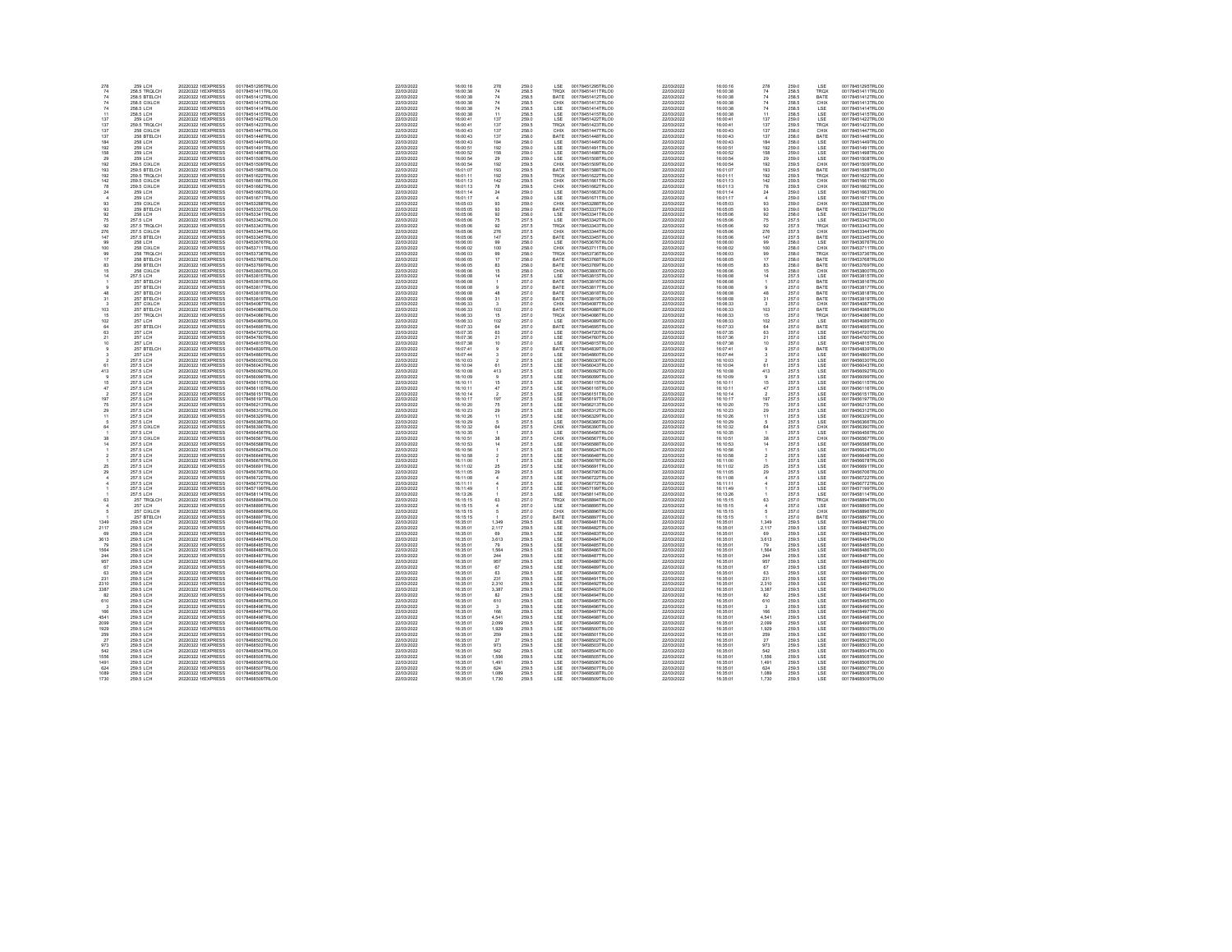| 278             | 259 LCH                          | 20220322 1(EXPRESS                        | 00178451295TRLO0                     | 22/03/2022               | 16:00:16             | 278                              | 259.0                 | LSE                | 00178451295TRLO0                     | 22/03/2022               | 16:00:16             | 278               | 259.0          | LSE.             | 00178451295TRLO0                     |
|-----------------|----------------------------------|-------------------------------------------|--------------------------------------|--------------------------|----------------------|----------------------------------|-----------------------|--------------------|--------------------------------------|--------------------------|----------------------|-------------------|----------------|------------------|--------------------------------------|
| 74              | 258.5 TRQLCH                     | 20220322 1(EXPRESS                        | 00178451411TRLOO                     | 22/03/2022               | 16:00:38             | 74                               | 258.5                 | TROX               | 00178451411TRLOO                     | 22/03/2022               | 16:00:38             | 74                | 258.5          | TROX             | 00178451411TRLOO                     |
| $74\,$          | 258.5 BTELCH                     | 20220322 1(EXPRESS                        | 00178451412TRLOO                     | 22/03/2022               | 16:00:38             | 74                               | 258.5                 | BATE               | 00178451412TRLOO                     | 22/03/2022               | 16:00:38             | 74                | 258.5          | BATE             | 00178451412TRLO0                     |
| 74              | 258.5 CIXLCH<br>258.5 LCH        | 20220322 1(EXPRESS<br>20220322 1(EXPRESS) | 00178451413TRLO0<br>00178451414TRLO0 | 22/03/2022<br>22/03/2022 | 16:00:38<br>16:00:38 | ${\bf 74}$<br>74                 | 258.5<br><b>258.5</b> | CHIX<br><b>ISE</b> | 00178451413TRLO0<br>00178451414TRLO0 | 22/03/2022<br>22/03/2022 | 16:00:38<br>16:00:38 | $74\,$<br>74      | 258.5<br>258.5 | CHIX<br>LSE.     | 00178451413TRLO0<br>00178451414TRLO0 |
| 11              | 258.5 LCH                        | 20220322 1(EXPRESS                        | 00178451415TRLO0                     | 22/03/2022               | 16:00:38             | 11                               | 258.5                 | LSE                | 00178451415TRLOO                     | 22/03/2022               | 16:00:38             |                   | 258.5          | LSE              | 00178451415TRLO0                     |
| 137             | 259 LCH                          | 20220322 1(EXPRESS                        | 00178451422TRLO0                     | 22/03/2022               | 16:00:41             | 137                              | 259.0                 | LSE                | 00178451422TRLO0                     | 22/03/2022               | 16:00:41             | $\frac{11}{137}$  | 259.0          | LSE              | 00178451422TRLO0                     |
| 137             | 259.5 TROLCH                     | 20220322 1(EXPRESS                        | 00178451423TRLOO                     | 22/03/2022               | 16:00:41             | 137                              | 259.5                 | TRQX               | 00178451423TRLOO                     | 22/03/2022               | 16:00:41             | 137               | 259.5          | TRQ)             | 00178451423TRLO0                     |
| 137             | 258 CIXLCH                       | 20220322 1(EXPRESS                        | 00178451447TRLO0                     | 22/03/2022               | 16:00:43             | 137<br>137                       | 258.0                 | CHIX               | 00178451447TRLO0                     | 22/03/2022               | 16:00:43             | $\frac{137}{137}$ | 258.0          | CHIX<br>BATE     | 00178451447TRLO0                     |
| 137             | 258 BTELCH                       | 20220322.1(EXPRESS)                       | 00178451448TRLO0                     | 22/03/2022               | 16:00:43             |                                  | 258.0                 | <b>BATE</b>        | 00178451448TRLO0                     | 22/03/2022               | 16:00:43             |                   | 258.0          |                  | 00178451448TRLO0                     |
| 184<br>192      | <b>258 LCH</b><br><b>259 LCH</b> | 20220322 1(EXPRESS<br>20220322 1(EXPRESS  | 00178451449TRLO0<br>00178451491TRLOD | 22/03/2022<br>22/03/2022 | 16:00:43<br>16:00:51 | 184<br>192                       | 258.0<br>259.0        | LSE<br>LSE         | 00178451449TRLO0<br>00178451491TRLOC | 22/03/2022<br>22/03/2022 | 16:00:43<br>16:00:51 | 184<br>192        | 258.0<br>259.0 | LSE<br>LSE       | 00178451449TRLO0<br>00178451491TRLO0 |
| 158             | 259 LCH                          | 20220322 1(EXPRESS                        | 00178451498TRLOO                     | 22/03/2022               | 16:00:52             | 158                              | 259.0                 | LSE                | 00178451498TRLOO                     | 22/03/2022               | 16:00:52             | 158               | 259.0          | LSE              | 00178451498TRLO0                     |
|                 | 259 LCH                          | 20220322 1(EXPRESS                        | 00178451508TRLO0                     | 22/03/2022               | 16:00:54             |                                  | 259.0                 | LSE                | 00178451508TRLO0                     | 22/03/2022               | 16:00:54             |                   | 259.0          | LSE              | 00178451508TRLO0                     |
| 192             | 259.5 CIXLCH                     | 20220322 1(EXPRESS                        | 00178451509TRLO0                     | 22/03/2022               | 16:00:54             | $\frac{29}{192}$                 | 259.5                 | CHIX               | 00178451509TRLO0                     | 22/03/2022               | 16:00:54             | $\frac{29}{192}$  | 259.5          | CHIX             | 00178451509TRLO0                     |
| 193             | 259.5 BTELCH                     | 20220322 1(EXPRESS                        | 00178451588TRLO0                     | 22/03/2022               | 16:01:07             | 193                              | 259.5                 | BATE               | 00178451588TRLO0                     | 22/03/2022               | 16:01:07             | 193               | 259.5          | BATE             | 00178451588TRLO0                     |
| 192             | 259.5 TROLCH                     | 20220322 1(EXPRESS                        | 00178451622TRLOD                     | 22/03/2022               | 16:01:11             | 192                              | 259.5                 | TROX               | 00178451622TRLOO                     | 22/03/2022               | 16:01:11             | 192               | 259.5          | TRO <sub>2</sub> | 00178451622TRLO0                     |
| 142             | 259.5 CIXLCH                     | 20220322 1(EXPRESS                        | 00178451661TRLOO                     | 22/03/2022               | 16:01:13             | 142                              | 259.5                 | CHIX               | 00178451661TRLOO                     | 22/03/2022               | 16:01:13             | 142               | 259.5          | CHIX             | 00178451661TRLO0                     |
| 24              | 259.5 CIXLCH<br>259 LCH          | 20220322 1(EXPRESS<br>20220322 1(EXPRESS  | 00178451662TRLO0<br>00178451663TRLO0 | 22/03/2022<br>22/03/2022 | 16:01:13<br>16:01:14 | $^{78}_{24}$                     | 259.5<br>259.0        | CHIX<br>LSE        | 00178451662TRLO0<br>00178451663TRLO0 | 22/03/2022<br>22/03/2022 | 16:01:13<br>16:01:14 | $\frac{78}{24}$   | 259.5<br>259.0 | CHIX<br>LSE.     | 00178451662TRLO0<br>00178451663TRLO0 |
|                 | 259 LCH                          | 20220322 1(EXPRESS                        | 00178451671TRLO0                     | 22/03/2022               | 16:01:17             | $\overline{4}$                   | 259.0                 | LSE                | 00178451671TRLOO                     | 22/03/2022               | 16:01:17             | $\ddot{a}$        | 259.0          | LSE              | 00178451671TRLO0                     |
|                 | 259 CIXLCH                       | 20220322 1(EXPRESS                        | 00178453288TRLOD                     | 22/03/2022               | 16:05:03             | 93                               | 259.0                 | CHIX               | 00178453288TRLOD                     | 22/03/2022               | 16:05:03             | 93                | 259.0          | CHIX             | 00178453288TRLOD                     |
| 93              | 259 BTELCH                       | 20220322 1(EXPRESS                        | 00178453337TRLOO                     | 22/03/2022               | 16:05:05             | 93                               | 259.0                 | BATE               | 00178453337TRLOO                     | 22/03/2022               | 16:05:05             | 93                | 259.0          | BATE             | 00178453337TRLO0                     |
|                 | 258 LCH                          | 20220322 1(EXPRESS                        | 00178453341TRLO0                     | 22/03/2022               | 16:05:06             | 92                               | 258.0                 | LSE                | 00178453341TRLOO<br>00178453342TRLOO | 22/03/2022               | 16:05:06             | $\frac{92}{75}$   | 258.0          | LSE<br>LSE       | 00178453341TRLO0                     |
| 76              | 257 S LCH                        | 20220322 1(EXPRESS                        | 00178453342TRLO0                     | 22/03/2022               | 16:05:08             | 76                               | 257.5                 | <b>ISE</b>         |                                      | 22/03/2022               | 16:05:08             | $\overline{92}$   | 257.5          |                  | 00178453342TRLO0                     |
| 92<br>276       | 257.5 TROLCH<br>257.5 CIXLCH     | 20220322 1(EXPRESS<br>20220322 1(EXPRESS  | 00178453343TRLO0<br>00178453344TRLOO | 22/03/2022<br>22/03/2022 | 16:05:06<br>16:05:06 | 92<br>276                        | 257.5<br>257.5        | TROX<br>CHIX       | 00178453343TRLO0<br>00178453344TRLOO | 22/03/2022<br>22/03/2022 | 16:05:06<br>16:05:06 | 276               | 257.5<br>257.5 | TROX<br>CHIX     | 00178453343TRLO0<br>00178453344TRLO0 |
| 147             | 257.5 BTELCH                     | 20220322 1(EXPRESS                        | 00178453345TRLOO                     | 22/03/2022               | 16:05:06             | 147                              | 257.5                 | BATE               | 00178453345TRLOO                     | 22/03/2022               | 16:05:06             | 147               | 257.5          | BATE             | 00178453345TRLO0                     |
|                 | <b>258 LCH</b>                   | 20220322 1(EXPRESS                        | 00178453676TRLO0                     | 22/03/2022               | 16:06:00             | 99                               | 258.0                 | LSE                | 00178453676TRLO0                     | 22/03/2022               | 16:06:00             | 99                | 258.0          | LSE              | 00178453676TRLO0                     |
| 100             | 258 CIXI CH                      | 20220322 1(EXPRESS                        | 00178453711TRLO0                     | 22/03/2022               | 16:06:02             | 100                              | 258.0                 | CHIX               | 00178453711TRLO0                     | 22/03/2022               | 16:06:02             | 100               | 258.0          | CHIX             | 00178453711TRLO0                     |
| 99              | 258 TROLCH                       | 20220322 1(EXPRESS                        | 00178453736TRLO0                     | 22/03/2022               | 16:06:03             | $\frac{99}{17}$                  | 258.0                 | TRQX               | 00178453736TRLO0                     | 22/03/2022               | 16:06:03             | $\frac{99}{17}$   | 258.0          | TROX             | 00178453736TRLO0                     |
|                 | 258 BTELCH                       | 20220322 1(EXPRESS                        | 00178453768TRLOD                     | 22/03/2022               | 16:06:05             |                                  | 258.0                 | BATE               | 00178453768TRLOD                     | 22/03/2022               | 16:06:05             |                   | 258.0          | BATE             | 00178453768TRLOD                     |
| 83              | 258 BTELCH                       | 20220322 1(EXPRESS                        | 00178453769TRLOO                     | 22/03/2022               | 16:06:05             | 83                               | 258.0                 | BATE               | 00178453769TRLOO                     | 22/03/2022               | 16:06:05             | 83                | 258.0          | BATE             | 00178453769TRLO0                     |
| 14              | 258 CIXLCH<br>257.5 LCH          | 20220322 1(EXPRESS<br>20220322 1(EXPRESS  | 00178453800TRLO0<br>00178453815TRLO0 | 22/03/2022<br>22/03/2022 | 16:06:06<br>16:06:08 | $\frac{15}{14}$                  | 258.0<br>257.5        | CHIX<br><b>LSE</b> | 00178453800TRLOO<br>00178453815TRLOO | 22/03/2022<br>22/03/2022 | 16:06:06<br>16:06:08 | $15$<br>$14$      | 258.0<br>257.5 | CHIX<br>LSE.     | 00178453800TRLO0<br>00178453815TRLO0 |
|                 | 257 BTELCH                       | 20220322 1(EXPRESS                        | 00178453816TRLO0                     | 22/03/2022               | 16:06:08             |                                  | 257.0                 | BATE               | 00178453816TRLO0                     | 22/03/2022               | 16:06:08             | $\mathbf{1}$      | 257.0          | BATE             | 00178453816TRLO0                     |
|                 | 257 BTELCH                       | 20220322 1(EXPRESS                        | 00178453817TRLOO                     | 22/03/2022               | 16:06:08             |                                  | 257.0                 | BATE               | 00178453817TRLOO                     | 22/03/2022               | 16:06:08             |                   | 257.0          | BATE             | 00178453817TRLO0                     |
| 48              | 257 BTELCH                       | 20220322 1(EXPRESS                        | 00178453818TRLOO                     | 22/03/2022               | 16:06:08             | 48                               | 257.0                 | BATE               | 00178453818TRLOO                     | 22/03/2022               | 16:06:08             | 48                | 257.0          | BATE             | 00178453818TRLO0                     |
|                 | 257 BTELCH                       | 20220322 1(EXPRESS                        | 00178453819TRLO0                     | 22/03/2022               | 16:06:08             | $31\,$                           | 257.0                 | BATE               | 00178453819TRLO0<br>00178454087TRLO0 | 22/03/2022               | 16:06:08             | 31                | 257.0          | BATE             | 00178453819TRLO0                     |
|                 | 257 CIXLCH                       | 20220322 1(EXPRESS)                       | 00178454087TRLO0                     | 22/03/2022               | 16:06:33             | $\mathcal{R}$                    | 257.0                 | CHIX               |                                      | 22/03/2022               | 16:06:33             | 3                 | 257.0          | CHIX             | 00178454087TRLO0                     |
| 103             | 257 BTELCH                       | 20220322 1(EXPRESS                        | 00178454088TRLO0                     | 22/03/2022               | 16:06:33             | 103                              | 257.0                 | BATE               | 00178454088TRLO0                     | 22/03/2022               | 16:06:33             | 103               | 257.0          | BATE             | 00178454088TRLO0                     |
|                 | 257 TROLCH                       | 20220322 1(EXPRESS                        | 00178454086TRLOO                     | 22/03/2022               | 16:06:33             | 15                               | 257.0                 | TRQX               | 00178454086TRLOO                     | 22/03/2022               | 16:06:33             | 15                | 257.0          | TROX             | 00178454086TRLO0                     |
| 102             | <b>257 LCH</b>                   | 20220322 1(EXPRESS                        | 00178454089TRLOO                     | 22/03/2022               | 16:06:33             | 102                              | 257.0                 | LSE                | 00178454089TRLOO                     | 22/03/2022               | 16:06:33             | 102               | 257.0          | LSE              | 00178454089TRLO0                     |
| 63              | 257 BTELCH<br><b>257 LCH</b>     | 20220322 1(EXPRESS<br>20220322 1(EXPRESS) | 00178454695TRLO0<br>00178454720TRLO0 | 22/03/2022<br>22/03/2022 | 16:07:33<br>16:07:35 | $^{64}_{63}$                     | 257.0<br>257.0        | BATE<br>LSE        | 00178454695TRLO0<br>00178454720TRLO0 | 22/03/2022<br>22/03/2022 | 16:07:33<br>16:07:35 | $64$<br>$63$      | 257.0<br>257.0 | BATE<br>LSE      | 00178454695TRLO0<br>00178454720TRLO0 |
| 21              | <b>257 LCH</b>                   | 20220322 1(EXPRESS                        | 00178454760TRLO0                     | 22/03/2022               | 16:07:36             | 21                               | 257.0                 | LSE                | 00178454760TRLOO                     | 22/03/2022               | 16:07:36             |                   | 257.0          | LSE              | 00178454760TRLO0                     |
|                 | <b>257 LCH</b>                   | 20220322 1(EXPRESS                        | 00178454815TRLOD                     | 22/03/2022               | 16:07:38             | 10                               | 257.0                 | LSE                | 00178454815TRLOO                     | 22/03/2022               | 16:07:38             | $^{21}_{10}$      | 257.0          | LSE              | 00178454815TRLO0                     |
|                 | 257 BTELCH                       | 20220322 1(EXPRESS                        | 00178454839TRLOO                     | 22/03/2022               | 16:07:41             |                                  | 257.0                 | BATE               | 00178454839TRLOO                     | 22/03/2022               | 16:07:41             | $\boldsymbol{9}$  | 257.0          | BATE             | 00178454839TRLO0                     |
|                 | 257 LCH                          | 20220322 1(EXPRESS                        | 00178454860TRLO0<br>00178456030TRLO0 | 22/03/2022               | 16:07:44             |                                  | 257.0                 | LSE<br>LSE         | 00178454860TRLOO<br>00178456030TRLOO | 22/03/2022               | 16:07:44             | 3                 | 257.0          | LSE<br>LSE       | 00178454860TRLO0                     |
|                 | 257.5 LCH                        | 20220322 1(EXPRESS                        |                                      | 22/03/2022               | 16:10:03             | $\mathfrak{D}$                   | 257.5                 |                    |                                      | 22/03/2022               | 16:10:03             | $\overline{2}$    | 257.5          |                  | 00178456030TRLO0                     |
| 61              | 257.5 LCH                        | 20220322 1(EXPRESS                        | 00178456043TRLO0                     | 22/03/2022               | 16:10:04             | 61                               | 257.5                 | LSE                | 00178456043TRLO0                     | 22/03/2022               | 16:10:04             | 61                | 257.5          | LSE              | 00178456043TRLO0                     |
| 413             | 257.5 LCH                        | 20220322 1(EXPRESS                        | 00178456092TRLOC                     | 22/03/2022               | 16:10:08             | 413                              | 257.5                 | LSE                | 00178456092TRLOD                     | 22/03/2022               | 16:10:08             | 413               | 257.5          | LSE              | 00178456092TRLO0                     |
|                 | 257.5 LCH                        | 20220322 1(EXPRESS                        | 00178456099TRLO0                     | 22/03/2022               | 16:10:09             |                                  | 257.5                 | LSE                | 00178456099TRLO0                     | 22/03/2022               | 16:10:09             |                   | 257.5          | LSE              | 00178456099TRLO0                     |
| $\frac{15}{47}$ | 257.5 LCH<br>257.5 LCH           | 20220322 1(EXPRESS<br>20220322 1(EXPRESS  | 00178456115TRLO0<br>00178456116TRLO0 | 22/03/2022<br>22/03/2022 | 16:10:11<br>16:10:11 | $\frac{15}{47}$                  | 257.5<br>257.5        | LSE<br>LSE         | 00178456115TRLOO<br>00178456116TRLOO | 22/03/2022<br>22/03/2022 | 16:10:11<br>16:10:11 | $15$<br>$47$      | 257.5<br>257.5 | LSE<br>LSE       | 00178456115TRLO0<br>00178456116TRLO0 |
|                 | 257.5 LCH                        | 20220322 1(EXPRESS                        | 00178456151TRLO0                     | 22/03/2022               | 16:10:14             |                                  | 257.5                 | LSE                | 00178456151TRLO0                     | 22/03/2022               | 16:10:14             | $\overline{2}$    | 257.5          | LSE              | 00178456151TRLO0                     |
| 197             | 257.5 LCH                        | 20220322 1(EXPRESS                        | 00178456197TRLOC                     | 22/03/2022               | 16:10:17             | 197                              | 257.5                 | LSE                | 00178456197TRLOO                     | 22/03/2022               | 16:10:17             | 197               | 257.5          | LSE              | 00178456197TRLO0                     |
| 75              | 257.5 LCH                        | 20220322 1(EXPRESS                        | 00178456213TRLOO                     | 22/03/2022               | 16:10:20             | 76                               | 257.5                 | LSE                | 00178456213TRLOO                     | 22/03/2022               | 16:10:20             | 75                | 257.5          | LSE              | 00178456213TRLO0                     |
|                 | 257.5 LCH                        | 20220322 1(EXPRESS                        | 00178456312TRLO0<br>00178456329TRLO0 | 22/03/2022               | 16:10:23             | $^{29}_{11}$                     | 257.5<br>257.5        | LSE<br>LSE         | 00178456312TRLO0<br>00178456329TRLO0 | 22/03/2022               | 16:10:23             | $^{29}_{11}$      | 257.5          | LSE<br>LSE       | 00178456312TRLO0                     |
| 11              | 257.5 LCH                        | 20220322 1(EXPRESS                        |                                      | 22/03/2022               | 16:10:26             |                                  |                       |                    |                                      | 22/03/2022               | 16:10:26             |                   | 257.5          |                  | 00178456329TRLO0                     |
|                 | 257.5 LCH                        | 20220322 1(EXPRESS                        | 00178456366TRLO0                     | 22/03/2022               | 16:10:29             |                                  | 257.5                 | LSE                | 00178456366TRLOO                     | 22/03/2022               | 16:10:29             | 5                 | 257.5          | LSE              | 00178456366TRLO0                     |
| 64              | 257.5 CIXLCH                     | 20220322 1(EXPRESS                        | 00178456390TRLOC                     | 22/03/2022               | 16:10:32             | 64                               | 257.5                 | CHIX               | 00178456390TRLOO                     | 22/03/2022               | 16:10:32             | 64                | 257.5          | CHIX             | 00178456390TRLO0                     |
|                 | 257.5 LCH                        | 20220322 1(EXPRESS                        | 00178456456TRLOO                     | 22/03/2022               | 16:10:35             |                                  | 257.5                 | LSE                | 00178456456TRLOO                     | 22/03/2022               | 16:10:35<br>16:10:51 |                   | 257.5          | LSE              | 00178456456TRLO0                     |
| 14              | 257.5 CIXLCH<br>257.5 LCH        | 20220322 1(EXPRESS<br>20220322 1(EXPRESS  | 00178456567TRLO0<br>00178456588TRLO0 | 22/03/2022<br>22/03/2022 | 16:10:51<br>16:10:53 | $\frac{38}{14}$                  | 257.5<br>257.5        | CHIX<br>LSE        | 00178456567TRLO0<br>00178456588TRLO0 | 22/03/2022<br>22/03/2022 | 16:10:53             | $\frac{38}{14}$   | 257.5<br>257.5 | CHIX<br>LSE      | 00178456567TRLO0<br>00178456588TRLO0 |
|                 | 257.5 LCH                        | 20220322 1(EXPRESS                        | 00178456624TRLO0                     | 22/03/2022               | 16:10:56             |                                  | 257.5                 | LSE                | 00178456624TRLO0                     | 22/03/2022               | 16:10:56             |                   | 257.5          | LSE              | 00178456624TRLO0                     |
|                 | 257.5 LCH                        | 20220322 1(EXPRESS                        | 00178456648TRLOO                     | 22/03/2022               | 16:10:58             |                                  | 257.5                 | LSE                | 00178456648TRLOO                     | 22/03/2022               | 16:10:58             | $\overline{2}$    | 257.5          | LSE              | 00178456648TRLO0                     |
|                 | 257.5 LCH                        | 20220322 1(EXPRESS                        | 00178456678TRLOO                     | 22/03/2022               | 16:11:00             |                                  | 257.5                 | LSE                | 00178456678TRLOO                     | 22/03/2022               | 16:11:00             |                   | 257.5          | LSE              | 00178456678TRLO0                     |
| 25              | 257.5 LCH                        | 20220322 1(EXPRESS                        | 00178456691TRLO0<br>00178456706TRLO0 | 22/03/2022               | 16:11:02             | 25                               | 257.5<br>257.5        | LSE<br>LSE         | 00178456691TRLOO<br>00178456706TRLOO | 22/03/2022               | 16:11:02             | 25                | 257.5          | LSE<br>LSE       | 00178456691TRLO0                     |
| 29              | 257.5 LCH                        | 20220322 1(EXPRESS                        |                                      | 22/03/2022               | 16:11:05             | 29                               |                       |                    |                                      | 22/03/2022               | 16:11:05             | 29                | 257.5          |                  | 00178456706TRLO0                     |
|                 | 257.5 LCH                        | 20220322 1(EXPRESS                        | 00178456722TRLO0                     | 22/03/2022               | 16:11:08             | $\overline{4}$<br>$\overline{4}$ | 257.5                 | LSE                | 00178456722TRLO0                     | 22/03/2022               | 16:11:08             | 4<br>$\ddot{4}$   | 257.5          | LSE              | 00178456722TRLO0                     |
|                 | 257.5 LCH<br>257.5 LCH           | 20220322 1(EXPRESS<br>20220322 1(EXPRESS  | 00178456772TRLOD<br>00178457199TRLO0 | 22/03/2022<br>22/03/2022 | 16:11:11<br>16:11:49 |                                  | 257.5<br>257.5        | LSE<br>LSE         | 00178456772TRLO0<br>00178457199TRLO0 | 22/03/2022<br>22/03/2022 | 16:11:11<br>16:11:49 |                   | 257.5<br>257.5 | LSE<br>LSE       | 00178456772TRLO0<br>00178457199TRLO0 |
|                 | 257.5 LCH                        | 20220322 1(EXPRESS                        | 00178458114TRLO0                     | 22/03/2022               | 16:13:26             |                                  | 257.5                 | <b>ISE</b>         |                                      | 22/03/2022               | 16:13:26             |                   | 257.5          |                  | 00178458114TRLO0                     |
| 63              | 257 TROLCH                       | 20220322 1(EXPRESS                        | 00178458894TRLO0                     | 22/03/2022               | 16:15:15             | 63                               | 257.0                 | TRQX               | 00178458114TRLO0<br>00178458894TRLO0 | 22/03/2022               | 16:15:15             | 63                | 257.0          | LSE<br>TROX      | 00178458894TRLO0                     |
|                 | 257 LCH                          | 20220322 1(EXPRESS                        | 00178458895TRLO0                     | 22/03/2022               | 16:15:15             |                                  | 257.0                 | LSE                | 00178458895TRLO0                     | 22/03/2022               | 16:15:15             | 4                 | 257.0          | LSE              | 00178458895TRLO0                     |
|                 | 257 CIXLCH                       | 20220322 1(EXPRESS                        | 00178458896TRLO0                     | 22/03/2022               | 16:15:15             |                                  | 257.0                 | CHIX               | 00178458896TRLO0                     | 22/03/2022               | 16:15:15             |                   | 257.0          | CHIX             | 00178458896TRLO0                     |
|                 | 257 BTELCH                       | 20220322 1(EXPRESS                        | 00178458897TRLO0                     | 22/03/2022               | 16:15:15             |                                  | 257.0                 | BATE               | 00178458897TRLO0                     | 22/03/2022               | 16:15:15             |                   | 257.0          | BATE             | 00178458897TRLO0                     |
| 13.40           | 259.5 LCH                        | 20220322 1(EXPRESS                        | 00178468481TRLO0<br>00178468482TRLO0 | 22/03/2022               | 16:35:01             | 1,349<br>2,117                   | 259.5                 | LSE<br>LSE         | 00178468481TRLO0<br>00178468482TRLO0 | 22/03/2022               | 16:35:01             | 1,349             | 259.5          | LSE<br>LSE       | 00178468481TRLO0<br>00178468482TRLO0 |
| 2117            | 259.5 LCH                        | 20220322 1(EXPRESS)                       |                                      | 22/03/2022               | 16:35:01             |                                  | 259.5                 |                    |                                      | 22/03/2022               | 16:35:01             | 2.117             | 259.5          |                  |                                      |
| 69<br>3613      | 259.5 LCH<br>259.5 LCH           | 20220322 1(EXPRESS<br>20220322 1(EXPRESS  | 00178468483TRLO0<br>00178468484TRLOO | 22/03/2022<br>22/03/2022 | 16:35:01<br>16:35:01 | 69<br>3,613                      | 259.5<br>259.5        | LSE<br>LSE         | 00178468483TRLO0<br>00178468484TRLOO | 22/03/2022<br>22/03/2022 | 16:35:01<br>16:35:01 | 69<br>3,613       | 259.5<br>259.5 | LSE<br>LSE       | 00178468483TRLO0<br>00178468484TRLO0 |
| 79              | 259.5 LCH                        | 20220322 1(EXPRESS                        | 00178468485TRLO0                     | 22/03/2022               | 16:35:01             | 79                               | 259.5                 | LSE                | 00178468485TRLO0                     | 22/03/2022               | 16:35:01             | 79                | 259.5          | LSE              | 00178468485TRLO0                     |
| 1584            | 259.5 LCH                        | 20220322 1(EXPRESS                        | 00178468486TRLO0                     | 22/03/2022               | 16:35:01             |                                  | 259.5                 |                    |                                      | 22/03/2022               | 16:35:01             |                   | 259.5          |                  | 00178468486TRLO0                     |
| 244             | 259.5 LCH                        | 20220322 1(EXPRESS                        | 00178468487TRLO0                     | 22/03/2022               | 16:35:01             | $\frac{1,564}{244}$              | 259.5                 | LSE<br>LSE         | 00178468486TRLO0<br>00178468487TRLO0 | 22/03/2022               | 16:35:01             | 1,564<br>244      | 259.5          | LSE<br>LSE       | 00178468487TRLO0                     |
| 957             | 259.5 LCH                        | 20220322 1(EXPRESS                        | 00178468488TRLOO                     | 22/03/2022               | 16:35:01             | 957                              | 259.5                 | LSE                | 00178468488TRLOO                     | 22/03/2022               | 16:35:01             | 957               | 259.5          | LSE              | 00178468488TRLO0                     |
| 67              | 259.5 LCH                        | 20220322 1(EXPRESS                        | 00178468489TRLOO                     | 22/03/2022               | 16:35:01             | 67                               | 259.5                 | LSE                | 00178468489TRLOO                     | 22/03/2022               | 16:35:01             | 67                | 259.5          | LSE              | 00178468489TRLO0                     |
| 63              | 259.5 LCH                        | 20220322 1(EXPRESS                        | 00178468490TRLO0                     | 22/03/2022               | 16:35:01             | 63                               | 259.5                 | LSE                | 00178468490TRLO0                     | 22/03/2022               | 16:35:01             | 63                | 259.5          | LSE              | 00178468490TRLO0                     |
| 231             | 259.5 LCH                        | 20220322 1(EXPRESS                        | 00178468491TRLO0<br>00178468492TRLO0 | 22/03/2022               | 16:35:01             | 231                              | 259.5                 | LSE<br>LSE         | 00178468491TRLO0<br>00178468492TRLO0 | 22/03/2022               | 16:35:01             | $^{231}_{2,310}$  | 259.5          | LSE<br>LSE       | 00178468491TRLO0                     |
| 2310<br>3387    | 259.5 LCH<br>259.5 LCH           | 20220322 1(EXPRESS<br>20220322 1(EXPRESS  | 00178468493TRLO0                     | 22/03/2022<br>22/03/2022 | 16:35:01<br>16:35:01 | 2.310<br>3,387                   | 259.5<br>259.5        | LSE                | 00178468493TRLO0                     | 22/03/2022<br>22/03/2022 | 16:35:01<br>16:35:01 | 3,387             | 259.5<br>259.5 | LSE              | 00178468492TRLO0<br>00178468493TRLO0 |
| 82              | 259.5 LCH                        | 20220322 1(EXPRESS                        | 00178468494TRLOO                     | 22/03/2022               | 16:35:01             | 82                               | 259.5                 | LSE                | 00178468494TRLO0                     | 22/03/2022               | 16:35:01             | 82                | 259.5          | LSE              | 00178468494TRLO0                     |
| 610             | 259.5 LCH                        | 20220322 1(EXPRESS                        | 00178468495TRLO0                     | 22/03/2022               | 16:35:01             | 610                              | 259.5                 | LSE                | 00178468495TRLO0                     | 22/03/2022               | 16:35:01             | 610               | 259.5          | LSE              | 00178468495TRLO0                     |
|                 | 259.5 LCH                        | 20220322 1(EXPRESS                        | 00178468496TRLO0                     | 22/03/2022               | 16:35:01             |                                  | 259.5                 |                    |                                      | 22/03/2022               | 16:35:01             |                   | 259.5          |                  |                                      |
| 166             | 259.5 LCH                        | 20220322 1(EXPRESS                        | 00178468497TRLO0                     | 22/03/2022               | 16:35:01             | 166                              | 259.5                 | LSE<br>LSE         | 00178468496TRLO0<br>00178468497TRLO0 | 22/03/2022               | 16:35:01             | $\frac{3}{166}$   | 259.5          | LSE<br>LSE       | 00178468496TRLO0<br>00178468497TRLO0 |
| 4541            | 259.5 LCH                        | 20220322 1(EXPRESS                        | 00178468498TRLO0                     | 22/03/2022               | 16:35:01             | 4.541                            | 259.5                 | LSE                | 00178468498TRLO0                     | 22/03/2022               | 16:35:01             | 4.541             | 259.5          | LSE              | 00178468498TRLO0                     |
| 2099            | 259.5 LCH                        | 20220322 1(EXPRESS                        | 00178468499TRLOO                     | 22/03/2022               | 16:35:01             | 2,099                            | 259.5                 | LSE                | 00178468499TRLOO                     | 22/03/2022               | 16:35:01             | 2,099             | 259.5          | LSE              | 00178468499TRLO0                     |
| 1929            | 259.5 LCH                        | 20220322 1(EXPRESS                        | 00178468500TRLO0                     | 22/03/2022               | 16:35:01             | 1,929                            | 259.5                 | LSE                | 00178468500TRLO0                     | 22/03/2022               | 16:35:01             | 1,929             | 259.5          | LSE              | 00178468500TRLO0                     |
| 259<br>27       | 259.5 LCH                        | 20220322 1(EXPRESS                        | 00178468501TRLO0<br>00178468502TRLO0 | 22/03/2022               | 16:35:01             | $\frac{259}{27}$                 | 259.5                 | LSE<br>LSE         | 00178468501TRLO0<br>00178468502TRLO0 | 22/03/2022               | 16:35:01             | $\frac{259}{27}$  | 259.5          | LSE<br>LSE       | 00178468501TRLO0<br>00178468502TRLO0 |
| 973             | 259.5 LCH<br>259.5 LCH           | 20220322 1(EXPRESS<br>20220322 1(EXPRESS  | 00178468503TRLO0                     | 22/03/2022<br>22/03/2022 | 16:35:01<br>16:35:01 | 973                              | 259.5<br>259.5        | LSE                | 00178468503TRLO0                     | 22/03/2022<br>22/03/2022 | 16:35:01<br>16:35:01 | 973               | 259.5<br>259.5 | LSE              | 00178468503TRLO0                     |
| 542             | 259.5 LCH                        | 20220322 1(EXPRESS                        | 00178468504TRLOC                     | 22/03/2022               | 16:35:01             | 542                              | 259.5                 | LSE                | 00178468504TRLO0                     | 22/03/2022               | 16:35:01             | 542               | 259.5          | LSE              | 00178468504TRLO0                     |
| 1556            | 259.5 LCH                        | 20220322 1(EXPRESS                        | 00178468505TRLO0                     | 22/03/2022               | 16:35:01             | 1,556                            | 259.5                 | LSE                | 00178468505TRLO0                     | 22/03/2022               | 16:35:01             | 1,556             | 259.5          | LSE              | 00178468505TRLO0                     |
| 1491            | 259.5 LCH                        | 20220322-1(EXPRESS)                       | 00178468506TRLO0                     | 22/03/2022               | 16:35:01             |                                  | 259.5                 |                    | 00178468506TRLO0                     | 22/03/2022               | 16:35:01             |                   | 259.5          |                  | 00178468506TRLO0                     |
| 624             | 259.5 LCH                        | 20220322 1(EXPRESS                        | 00178468507TRLO0                     | 22/03/2022               | 16:35:01             | $^{1,491}_{624}$                 | 259.5                 | LSE<br>LSE         | 00178468507TRLO0                     | 22/03/2022               | 16:35:01             | 1,491<br>624      | 259.5          | LSE<br>LSE       | 00178468507TRLO0                     |
| 1089            | 259.5 LCH                        | 20220322 1(EXPRESS                        | 00178468508TRLO0                     | 22/03/2022               | 16:35:01             | 1.089                            | 259.5                 | LSE                | 00178468508TRLO0                     | 22/03/2022               | 16:35:01             | 1.089             | 259.5          | LSE              | 00178468508TRLO0                     |
|                 | 259.5 LCH                        | 20220322 1(EXPRESS                        | 00178468509TRLO0                     | 22/03/2022               | 16:35:01             | 1.730                            | 259.5                 | LSE                | 00178468509TRLO0                     | 22/03/2022               | 16:35:01             | 1.730             |                | LSE              | 00178468509TRLO0                     |